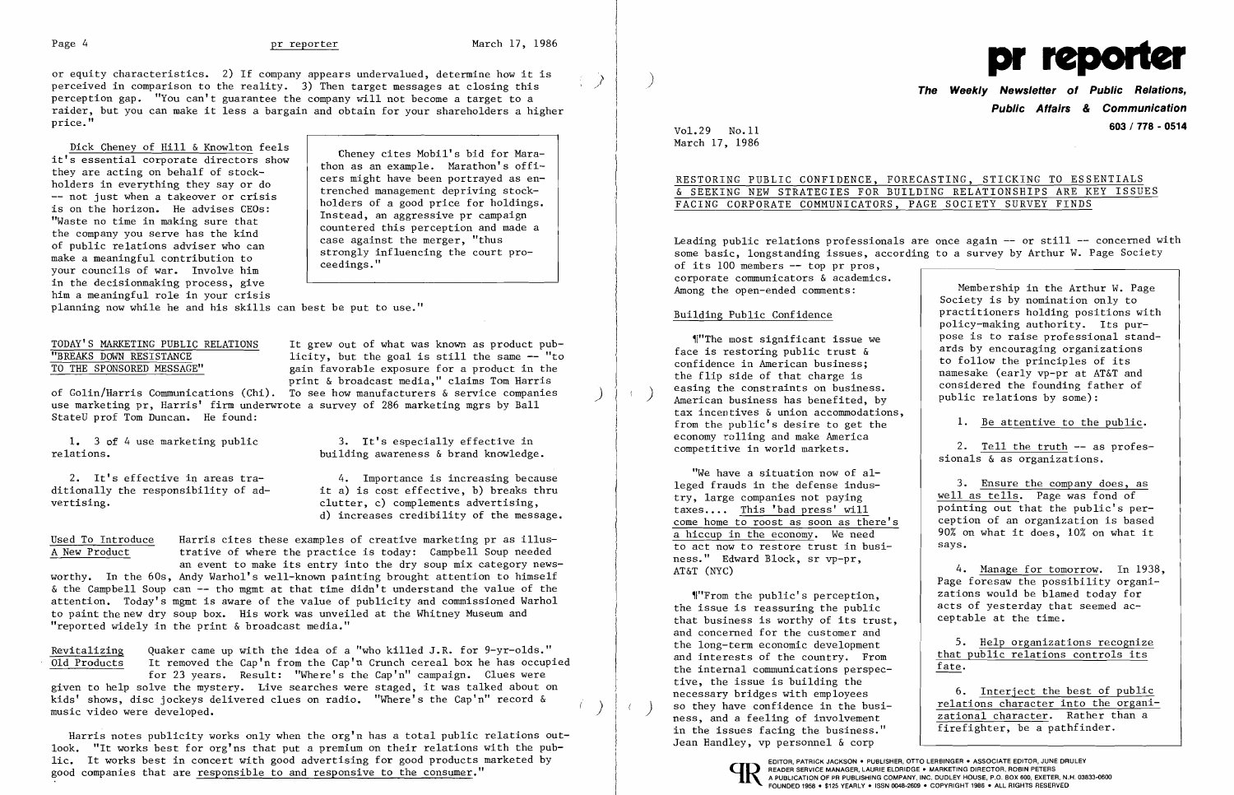Page 4 and the protocol of the March 17, 1986<br>
or equity characteristics. 2) If company appears undervalued, determine how it is<br>
perceived in comparison to the reality. 3) Then target messages at closing this<br>
perception raider, but you can't guarantee the company will not become a target to a **perception of the communication** of the communication of the communication of the communication of the communication of the communication  $\blacksquare$  an price."

Dick Cheney of Hill & Knowlton feels it's essential corporate directors show they are acting on behalf of stockholders in everything they say or do -- not just when a takeover or crisis is on the horizon. He advises CEOs: "Waste no time in making sure that the company you serve has the kind of public relations adviser who can make a meaningful contribution to your councils of war. Involve him in the decisionmaking process, give him a meaningful role in your crisis

ditionally the responsibility of ad-<br>  $\begin{array}{ccc} \n \text{it a)} & \text{is cost effective, b} \n \text{breaks} & \n \text{thru} & \n \text{clutter, c} & \n \text{complements} & \n \text{dvertising,} \n \end{array}$ clutter, c) complements advertising, d) increases credibility of the message.

Used To Introduce larris cites these examples of creative marketing pr as illus-<br>A New Product trative of where the practice is today: Campbell Soup needed trative of where the practice is today: Campbell Soup needed

Cheney cites Mobil's bid for Marathon as an example. Marathon's officers might have been portrayed as entrenched management depriving stockholders of a good price for holdings. Instead, an aggressive pr campaign countered this perception and made a case against the merger, "thus strongly influencing the court proceedings."

planning now while he and his skills can best be put to use."

## TODAY'S MARKETING PUBLIC RELATIONS<br>
"BREAKS DOWN RESISTANCE licity, but the goal is still the same -- "to "BREAKS DOWN RESISTANCE licity, but the goal is still the same -- "to<br>TO THE SPONSORED MESSAGE" gain favorable exposure for a product in the

Revitalizing Quaker came up with the idea of a "who killed J.R. for  $9-\text{yr}-\text{olds."}$ <br>Old Products It removed the Cap'n from the Cap'n Crunch cereal box he has occup It removed the Cap'n from the Cap'n Crunch cereal box he has occupied for 23 years. Result: "Where's the Cap'n" campaign. Clues were

given to help solve the mystery. Live searches were staged, it was talked about on kids' shows, disc jockeys delivered clues on radio. "Where's the Cap'n" record & weight where  $\langle$  ,  $\rangle$ 

Harris notes publicity works only when the org'n has a total public relations outlook. "It works best for org'ns that put a premium on their relations with the pub-The works best in concert with good advertising for good products marketed by<br>good companies that are responsible to and responsive to the consumer."<br>The person service manager, LAURIE ELDRIDGE • MARKETING DIRECTOR, ROBIN

print & broadcast media," claims Tom Harris of Golin/Harris Communications (Chi). To see how manufacturers & service companies ) use marketing pr, Harris' firm underwrote a survey of 286 marketing mgrs by Ball StateU prof Tom Duncan. He found:

1. 3 of 4 use marketing public 3. It's especially effective in relations.

2. It's effective in areas tra-<br>ditionally the responsibility of ad-<br>it a) is cost effective, b) breaks thru

building awareness  $\&$  brand knowledge.

gain favorable exposure for a product in the

## **Newsletter of Public Relations, 603 / 778 - 0514** Vol. 29 No.ll

Leading public relations professionals are once again  $-$  or still  $-$  concerned with some basic, longstanding issues, according to a survey by Arthur W. Page Society of its 100 members -- top pr pros, corporate communicators & academics. Among the open-ended comments: Membership in the Arthur W. Page

an event to make its entry into the dry soup mix category newsworthy. In the 60s, Andy Warhol's well-known painting brought attention to himself  $\&$  the Campbell Soup can  $--$  tho mgmt at that time didn't understand the value of the attention. Today's mgmt is aware of the value of publicity and commissioned Warhol to paint the new dry soup box. His work was unveiled at the Whitney Museum and "reported widely in the print & broadcast media."

March 17, 1986

RESTORING PUBLIC CONFIDENCE, FORECASTING, STICKING TO ESSENTIALS & SEEKING NEW STRATEGIES FOR BUILDING RELATIONSHIPS ARE KEY ISSUES

# FACING CORPORATE COMMUNICATORS, PAGE SOCIETY SURVEY FINDS

### Building Public Confidence

,f"The most significant issue we face is restoring public trust & confidence in American business; the flip side of that charge is easing the constraints on business.<br>American business has benefited, by tax incentives & union accommodations, from the public's desire to get the economy rolling and make America competitive in world markets.

> "We have a situation now of alleged frauds in the defense industry, large companies not paying taxes.... This 'bad press' will come home to roost as soon as there's a hiccup in the economy. We need to act now to restore trust in business." Edward Block, sr vp-pr, AT&T (NYC)

'I"From the public's percep tion, the issue is reassuring the public that business is worthy of its trust, and concerned for the customer and the long-term economic development and interests of the country. From the internal communications perspective, the issue is building the necessary bridges with employees so they have confidence in the business, and a feeling of involvement in the issues facing the business." Jean Handley, vp personnel & corp





Society is by nomination only to practitioners holding positions with policy-making authority. Its purpose is to raise professional standards by encouraging organizations to follow the principles of its namesake (early vp-pr at AT&T and considered the founding father of public relations by some):

1. Be attentive to the public.

2. Tell the truth -- as professionals & as organizations.

3. Ensure the company does, as well as  $t = 1$ s. Page was fond of pointing out that the public's perception of an organization is based 90% on what it does, 10% on what it says.

4. Manage for tomorrow. In 1938, Page foresaw the possibility organizations would be blamed today for acts of yesterday that seemed acceptable at the time.

5. Help organizations recognize that public relations controls its fate.

6. Interject the best of public relations character into the organizational character. Rather than a firefighter, be a pathfinder.